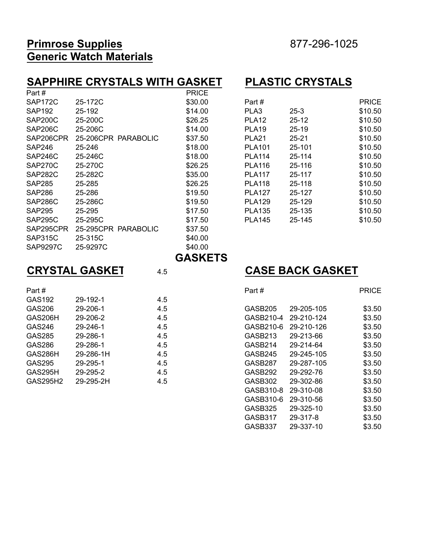#### **Primrose Supplies** 877-296-1025 **Generic Watch Materials**

#### **SAPPHIRE CRYSTALS WITH GASKET PLASTIC CRYSTALS PRICE**

| SAP <sub>172</sub> C | 25-172C             | \$30.00 | Part#             |           | <b>PRICE</b> |
|----------------------|---------------------|---------|-------------------|-----------|--------------|
| <b>SAP192</b>        | 25-192              | \$14.00 | PLA3              | $25 - 3$  | \$10.50      |
| SAP200C              | 25-200C             | \$26.25 | PLA <sub>12</sub> | $25 - 12$ | \$10.50      |
| SAP206C              | 25-206C             | \$14.00 | <b>PLA19</b>      | $25-19$   | \$10.50      |
| SAP206CPR            | 25-206CPR PARABOLIC | \$37.50 | PLA <sub>21</sub> | $25 - 21$ | \$10.50      |
| <b>SAP246</b>        | 25-246              | \$18.00 | <b>PLA101</b>     | 25-101    | \$10.50      |
| SAP246C              | 25-246C             | \$18.00 | <b>PLA114</b>     | 25-114    | \$10.50      |
| SAP270C              | 25-270C             | \$26.25 | <b>PLA116</b>     | 25-116    | \$10.50      |
| SAP282C              | 25-282C             | \$35.00 | <b>PLA117</b>     | 25-117    | \$10.50      |
| <b>SAP285</b>        | 25-285              | \$26.25 | <b>PLA118</b>     | 25-118    | \$10.50      |
| <b>SAP286</b>        | 25-286              | \$19.50 | <b>PLA127</b>     | 25-127    | \$10.50      |
| SAP286C              | 25-286C             | \$19.50 | <b>PLA129</b>     | 25-129    | \$10.50      |
| <b>SAP295</b>        | 25-295              | \$17.50 | <b>PLA135</b>     | 25-135    | \$10.50      |
| SAP295C              | 25-295C             | \$17.50 | <b>PLA145</b>     | 25-145    | \$10.50      |
| SAP295CPR            | 25-295CPR PARABOLIC | \$37.50 |                   |           |              |
| SAP315C              | 25-315C             | \$40.00 |                   |           |              |
| <b>SAP9297C</b>      | 25-9297C            | \$40.00 |                   |           |              |

| Part #            |           | <b>PRICE</b> |
|-------------------|-----------|--------------|
| PLA3              | $25-3$    | \$10.50      |
| <b>PLA12</b>      | 25-12     | \$10.50      |
| PLA <sub>19</sub> | $25 - 19$ | \$10.50      |
| PLA <sub>21</sub> | $25 - 21$ | \$10.50      |
| <b>PLA101</b>     | 25-101    | \$10.50      |
| <b>PLA114</b>     | 25-114    | \$10.50      |
| <b>PLA116</b>     | 25-116    | \$10.50      |
| <b>PLA117</b>     | 25-117    | \$10.50      |
| <b>PLA118</b>     | 25-118    | \$10.50      |
| <b>PLA127</b>     | 25-127    | \$10.50      |
| <b>PLA129</b>     | 25-129    | \$10.50      |
| <b>PLA135</b>     | 25-135    | \$10.50      |
| <b>PLA145</b>     | 25-145    | \$10.50      |
|                   |           |              |

\$40.00  **GASKETS**

| Part #   |           |     |
|----------|-----------|-----|
| GAS192   | 29-192-1  | 4.5 |
| GAS206   | 29-206-1  | 4.5 |
| GAS206H  | 29-206-2  | 4.5 |
| GAS246   | 29-246-1  | 4.5 |
| GAS285   | 29-286-1  | 4.5 |
| GAS286   | 29-286-1  | 4.5 |
| GAS286H  | 29-286-1H | 4.5 |
| GAS295   | 29-295-1  | 4.5 |
| GAS295H  | 29-295-2  | 4.5 |
| GAS295H2 | 29-295-2H | 45  |

#### **CRYSTAL GASKET**  $4.5$  **CASE BACK GASKET**

| Part#    |           |     | Part#     |            | <b>PRICE</b> |
|----------|-----------|-----|-----------|------------|--------------|
| GAS192   | 29-192-1  | 4.5 |           |            |              |
| GAS206   | 29-206-1  | 4.5 | GASB205   | 29-205-105 | \$3.50       |
| GAS206H  | 29-206-2  | 4.5 | GASB210-4 | 29-210-124 | \$3.50       |
| GAS246   | 29-246-1  | 4.5 | GASB210-6 | 29-210-126 | \$3.50       |
| GAS285   | 29-286-1  | 4.5 | GASB213   | 29-213-66  | \$3.50       |
| GAS286   | 29-286-1  | 4.5 | GASB214   | 29-214-64  | \$3.50       |
| GAS286H  | 29-286-1H | 4.5 | GASB245   | 29-245-105 | \$3.50       |
| GAS295   | 29-295-1  | 4.5 | GASB287   | 29-287-105 | \$3.50       |
| GAS295H  | 29-295-2  | 4.5 | GASB292   | 29-292-76  | \$3.50       |
| GAS295H2 | 29-295-2H | 4.5 | GASB302   | 29-302-86  | \$3.50       |
|          |           |     | GASB310-8 | 29-310-08  | \$3.50       |
|          |           |     | GASB310-6 | 29-310-56  | \$3.50       |
|          |           |     | GASB325   | 29-325-10  | \$3.50       |
|          |           |     | GASB317   | 29-317-8   | \$3.50       |
|          |           |     | GASB337   | 29-337-10  | \$3.50       |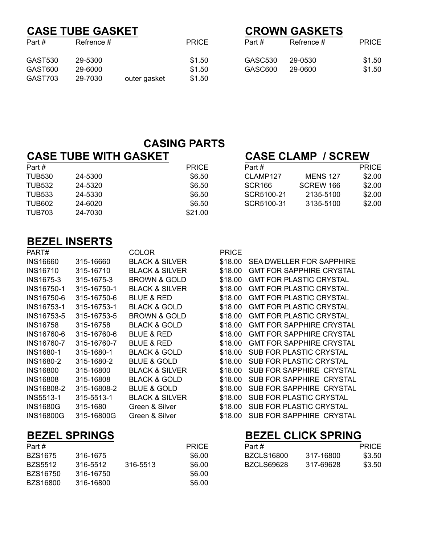## **CASE TUBE GASKET**<br>Part # Refrence # PRICE PRICE Refrence #

|--|

| $\overline{\phantom{a}}$ . Cultr | י <i>ייטו</i> וטוועט <del>וו</del> |              | .      | 1 a. m  | $1101100 \pi$ | ם טורו |
|----------------------------------|------------------------------------|--------------|--------|---------|---------------|--------|
| GAST530                          | 29-5300                            |              | \$1.50 | GASC530 | 29-0530       | \$1.50 |
| GAST600                          | 29-6000                            |              | \$1.50 | GASC600 | 29-0600       | \$1.50 |
| GAST703                          | 29-7030                            | outer gasket | \$1.50 |         |               |        |

# Part # Part # PRICE Part # Refrence # PRICE

#### **CASING PARTS**

## **CASE TUBE WITH GASKET CASE CLAMP / SCREW**

TUB703 24-7030 \$21.00

| Part # |         | <b>PRICE</b> | Part #             |                 | <b>PRICE</b> |
|--------|---------|--------------|--------------------|-----------------|--------------|
| TUB530 | 24-5300 | \$6.50       | CLAMP127           | <b>MENS 127</b> | \$2.00       |
| TUB532 | 24-5320 | \$6.50       | SCR <sub>166</sub> | SCREW 166       | \$2.00       |
| TUB533 | 24-5330 | \$6.50       | SCR5100-21         | 2135-5100       | \$2.00       |
| TUB602 | 24-6020 | \$6.50       | SCR5100-31         | 3135-5100       | \$2.00       |
|        |         |              |                    |                 |              |

#### **BEZEL INSERTS**

|                   | _____ v__   |                           |              |                                 |
|-------------------|-------------|---------------------------|--------------|---------------------------------|
| PART#             |             | <b>COLOR</b>              | <b>PRICE</b> |                                 |
| <b>INS16660</b>   | 315-16660   | <b>BLACK &amp; SILVER</b> | \$18.00      | <b>SEA DWELLER FOR SAPPHIRE</b> |
| <b>INS16710</b>   | 315-16710   | <b>BLACK &amp; SILVER</b> | \$18.00      | <b>GMT FOR SAPPHIRE CRYSTAL</b> |
| <b>INS1675-3</b>  | 315-1675-3  | <b>BROWN &amp; GOLD</b>   | \$18.00      | <b>GMT FOR PLASTIC CRYSTAL</b>  |
| <b>INS16750-1</b> | 315-16750-1 | <b>BLACK &amp; SILVER</b> | \$18.00      | <b>GMT FOR PLASTIC CRYSTAL</b>  |
| INS16750-6        | 315-16750-6 | <b>BLUE &amp; RED</b>     | \$18.00      | <b>GMT FOR PLASTIC CRYSTAL</b>  |
| <b>INS16753-1</b> | 315-16753-1 | <b>BLACK &amp; GOLD</b>   | \$18.00      | <b>GMT FOR PLASTIC CRYSTAL</b>  |
| INS16753-5        | 315-16753-5 | <b>BROWN &amp; GOLD</b>   | \$18.00      | <b>GMT FOR PLASTIC CRYSTAL</b>  |
| <b>INS16758</b>   | 315-16758   | <b>BLACK &amp; GOLD</b>   | \$18.00      | <b>GMT FOR SAPPHIRE CRYSTAL</b> |
| INS16760-6        | 315-16760-6 | <b>BLUE &amp; RED</b>     | \$18.00      | <b>GMT FOR SAPPHIRE CRYSTAL</b> |
| <b>INS16760-7</b> | 315-16760-7 | <b>BLUE &amp; RED</b>     | \$18.00      | <b>GMT FOR SAPPHIRE CRYSTAL</b> |
| <b>INS1680-1</b>  | 315-1680-1  | <b>BLACK &amp; GOLD</b>   | \$18.00      | SUB FOR PLASTIC CRYSTAL         |
| <b>INS1680-2</b>  | 315-1680-2  | <b>BLUE &amp; GOLD</b>    | \$18.00      | SUB FOR PLASTIC CRYSTAL         |
| <b>INS16800</b>   | 315-16800   | <b>BLACK &amp; SILVER</b> | \$18.00      | SUB FOR SAPPHIRE CRYSTAL        |
| <b>INS16808</b>   | 315-16808   | <b>BLACK &amp; GOLD</b>   | \$18.00      | SUB FOR SAPPHIRE CRYSTAL        |
| <b>INS16808-2</b> | 315-16808-2 | <b>BLUE &amp; GOLD</b>    | \$18.00      | SUB FOR SAPPHIRE CRYSTAL        |
| <b>INS5513-1</b>  | 315-5513-1  | <b>BLACK &amp; SILVER</b> | \$18.00      | SUB FOR PLASTIC CRYSTAL         |
| <b>INS1680G</b>   | 315-1680    | Green & Silver            | \$18.00      | <b>SUB FOR PLASTIC CRYSTAL</b>  |
| <b>INS16800G</b>  | 315-16800G  | Green & Silver            | \$18.00      | SUB FOR SAPPHIRE CRYSTAL        |
|                   |             |                           |              |                                 |

| Part #          |           |          | <b>PRICE</b> | Part #            |           | <b>PRICE</b> |
|-----------------|-----------|----------|--------------|-------------------|-----------|--------------|
| <b>BZS1675</b>  | 316-1675  |          | \$6.00       | <b>BZCLS16800</b> | 317-16800 | \$3.50       |
| <b>BZS5512</b>  | 316-5512  | 316-5513 | \$6.00       | BZCLS69628        | 317-69628 | \$3.50       |
| <b>BZS16750</b> | 316-16750 |          | \$6.00       |                   |           |              |
| <b>BZS16800</b> | 316-16800 |          | \$6.00       |                   |           |              |

# **BEZEL SPRINGS**<br>PRICE BEZEL CLICK SPRING

| Part #     |           | <b>PRICE</b> |
|------------|-----------|--------------|
| BZCLS16800 | 317-16800 | \$3.50       |
| BZCLS69628 | 317-69628 | \$3.50       |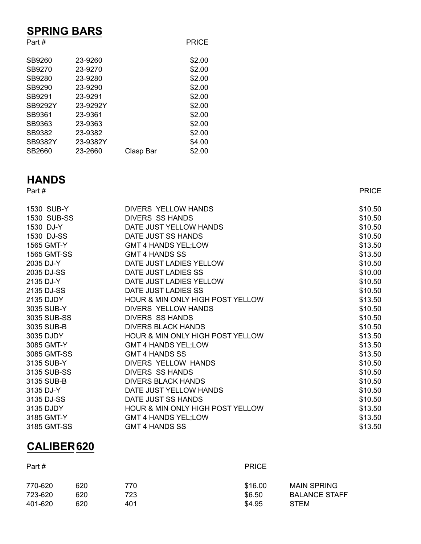## **SPRING BARS**

| Part #         |          |           | <b>PRICE</b> |
|----------------|----------|-----------|--------------|
| SB9260         | 23-9260  |           | \$2.00       |
| SB9270         | 23-9270  |           | \$2.00       |
| SB9280         | 23-9280  |           | \$2.00       |
| SB9290         | 23-9290  |           | \$2.00       |
| SB9291         | 23-9291  |           | \$2.00       |
| <b>SB9292Y</b> | 23-9292Y |           | \$2.00       |
| SB9361         | 23-9361  |           | \$2.00       |
| SB9363         | 23-9363  |           | \$2.00       |
| SB9382         | 23-9382  |           | \$2.00       |
| <b>SB9382Y</b> | 23-9382Y |           | \$4.00       |
| SB2660         | 23-2660  | Clasp Bar | \$2.00       |

# **HANDS**

Part # PRICE

| 1530 SUB-Y         | DIVERS YELLOW HANDS              | \$10.50 |
|--------------------|----------------------------------|---------|
| 1530 SUB-SS        | <b>DIVERS SS HANDS</b>           | \$10.50 |
| 1530 DJ-Y          | DATE JUST YELLOW HANDS           | \$10.50 |
| 1530 DJ-SS         | DATE JUST SS HANDS               | \$10.50 |
| 1565 GMT-Y         | <b>GMT 4 HANDS YEL;LOW</b>       | \$13.50 |
| <b>1565 GMT-SS</b> | <b>GMT 4 HANDS SS</b>            | \$13.50 |
| 2035 DJ-Y          | DATE JUST LADIES YELLOW          | \$10.50 |
| 2035 DJ-SS         | DATE JUST LADIES SS              | \$10.00 |
| 2135 DJ-Y          | DATE JUST LADIES YELLOW          | \$10.50 |
| 2135 DJ-SS         | DATE JUST LADIES SS              | \$10.50 |
| 2135 DJDY          | HOUR & MIN ONLY HIGH POST YELLOW | \$13.50 |
| 3035 SUB-Y         | DIVERS YELLOW HANDS              | \$10.50 |
| 3035 SUB-SS        | <b>DIVERS SS HANDS</b>           | \$10.50 |
| 3035 SUB-B         | <b>DIVERS BLACK HANDS</b>        | \$10.50 |
| 3035 DJDY          | HOUR & MIN ONLY HIGH POST YELLOW | \$13.50 |
| 3085 GMT-Y         | <b>GMT 4 HANDS YEL;LOW</b>       | \$13.50 |
| 3085 GMT-SS        | <b>GMT 4 HANDS SS</b>            | \$13.50 |
| 3135 SUB-Y         | DIVERS YELLOW HANDS              | \$10.50 |
| 3135 SUB-SS        | <b>DIVERS SS HANDS</b>           | \$10.50 |
| 3135 SUB-B         | <b>DIVERS BLACK HANDS</b>        | \$10.50 |
| 3135 DJ-Y          | DATE JUST YELLOW HANDS           | \$10.50 |
| 3135 DJ-SS         | DATE JUST SS HANDS               | \$10.50 |
| 3135 DJDY          | HOUR & MIN ONLY HIGH POST YELLOW | \$13.50 |
| 3185 GMT-Y         | <b>GMT 4 HANDS YEL;LOW</b>       | \$13.50 |
| 3185 GMT-SS        | <b>GMT 4 HANDS SS</b>            | \$13.50 |

## **CALIBER620**

| Part #  |     |     | <b>PRICE</b> |                      |
|---------|-----|-----|--------------|----------------------|
| 770-620 | 620 | 770 | \$16.00      | <b>MAIN SPRING</b>   |
| 723-620 | 620 | 723 | \$6.50       | <b>BALANCE STAFF</b> |
| 401-620 | 620 | 401 | \$4.95       | <b>STEM</b>          |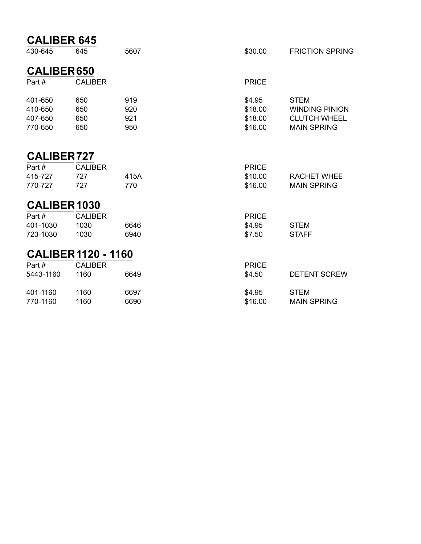| <b>CALIBER 645</b>                       |                            |                          |                                         |                                                                                   |
|------------------------------------------|----------------------------|--------------------------|-----------------------------------------|-----------------------------------------------------------------------------------|
| 430-645                                  | 645                        | 5607                     | \$30.00                                 | <b>FRICTION SPRING</b>                                                            |
| <b>CALIBER650</b>                        |                            |                          |                                         |                                                                                   |
| Part#                                    | <b>CALIBER</b>             |                          | <b>PRICE</b>                            |                                                                                   |
| 401-650<br>410-650<br>407-650<br>770-650 | 650<br>650<br>650<br>650   | 919<br>920<br>921<br>950 | \$4.95<br>\$18.00<br>\$18.00<br>\$16.00 | <b>STEM</b><br><b>WINDING PINION</b><br><b>CLUTCH WHEEL</b><br><b>MAIN SPRING</b> |
| <b>CALIBER727</b>                        |                            |                          |                                         |                                                                                   |
| Part#                                    | <b>CALIBER</b>             |                          | <b>PRICE</b>                            |                                                                                   |
| 415-727                                  | 727                        | 415A                     | \$10.00                                 | <b>RACHET WHEE</b>                                                                |
| 770-727                                  | 727                        | 770                      | \$16.00                                 | <b>MAIN SPRING</b>                                                                |
| CALIBER 1030                             |                            |                          |                                         |                                                                                   |
| Part#                                    | <b>CALIBER</b>             |                          | <b>PRICE</b>                            |                                                                                   |
| 401-1030                                 | 1030                       | 6646                     | \$4.95                                  | <b>STEM</b>                                                                       |
| 723-1030                                 | 1030                       | 6940                     | \$7.50                                  | <b>STAFF</b>                                                                      |
|                                          | <b>CALIBER 1120 - 1160</b> |                          |                                         |                                                                                   |
| Part#                                    | <b>CALIBER</b>             |                          | <b>PRICE</b>                            |                                                                                   |
| 5443-1160                                | 1160                       | 6649                     | \$4.50                                  | <b>DETENT SCREW</b>                                                               |
| 401-1160                                 | 1160                       | 6697                     | \$4.95                                  | <b>STEM</b>                                                                       |
| 770-1160                                 | 1160                       | 6690                     | \$16.00                                 | <b>MAIN SPRING</b>                                                                |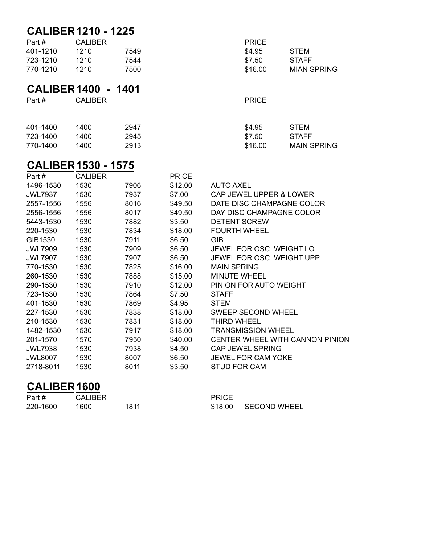|                     | <b>CALIBER 1210 - 1225</b> |        |              |                    |
|---------------------|----------------------------|--------|--------------|--------------------|
| Part#               | <b>CALIBER</b>             |        | <b>PRICE</b> |                    |
| 401-1210            | 1210                       | 7549   | \$4.95       | <b>STEM</b>        |
| 723-1210            | 1210                       | 7544   | \$7.50       | <b>STAFF</b>       |
| 770-1210            | 1210                       | 7500   | \$16.00      | <b>MIAN SPRING</b> |
| <b>CALIBER 1400</b> |                            | - 1401 |              |                    |
| Part#               | <b>CALIBER</b>             |        | <b>PRICE</b> |                    |
| 401-1400            | 1400                       | 2947   | \$4.95       | <b>STEM</b>        |
| 723-1400            | 1400                       | 2945   | \$7.50       | <b>STAFF</b>       |
| 770-1400            | 1400                       | 2913   | \$16.00      | <b>MAIN SPRING</b> |
|                     |                            |        |              |                    |

#### **CALIBER1530 - 1575**

| Part#          | <b>CALIBER</b> |      | <b>PRICE</b> |                                 |
|----------------|----------------|------|--------------|---------------------------------|
| 1496-1530      | 1530           | 7906 | \$12.00      | AUTO AXEL                       |
| <b>JWL7937</b> | 1530           | 7937 | \$7.00       | CAP JEWEL UPPER & LOWER         |
| 2557-1556      | 1556           | 8016 | \$49.50      | DATE DISC CHAMPAGNE COLOR       |
| 2556-1556      | 1556           | 8017 | \$49.50      | DAY DISC CHAMPAGNE COLOR        |
| 5443-1530      | 1530           | 7882 | \$3.50       | <b>DETENT SCREW</b>             |
| 220-1530       | 1530           | 7834 | \$18.00      | <b>FOURTH WHEEL</b>             |
| GIB1530        | 1530           | 7911 | \$6.50       | <b>GIB</b>                      |
| <b>JWL7909</b> | 1530           | 7909 | \$6.50       | JEWEL FOR OSC. WEIGHT LO.       |
| <b>JWL7907</b> | 1530           | 7907 | \$6.50       | JEWEL FOR OSC. WEIGHT UPP.      |
| 770-1530       | 1530           | 7825 | \$16.00      | <b>MAIN SPRING</b>              |
| 260-1530       | 1530           | 7888 | \$15.00      | <b>MINUTE WHEEL</b>             |
| 290-1530       | 1530           | 7910 | \$12.00      | PINION FOR AUTO WEIGHT          |
| 723-1530       | 1530           | 7864 | \$7.50       | <b>STAFF</b>                    |
| 401-1530       | 1530           | 7869 | \$4.95       | <b>STEM</b>                     |
| 227-1530       | 1530           | 7838 | \$18.00      | <b>SWEEP SECOND WHEEL</b>       |
| 210-1530       | 1530           | 7831 | \$18.00      | THIRD WHEEL                     |
| 1482-1530      | 1530           | 7917 | \$18.00      | <b>TRANSMISSION WHEEL</b>       |
| 201-1570       | 1570           | 7950 | \$40.00      | CENTER WHEEL WITH CANNON PINION |
| <b>JWL7938</b> | 1530           | 7938 | \$4.50       | <b>CAP JEWEL SPRING</b>         |
| <b>JWL8007</b> | 1530           | 8007 | \$6.50       | <b>JEWEL FOR CAM YOKE</b>       |
| 2718-8011      | 1530           | 8011 | \$3.50       | <b>STUD FOR CAM</b>             |
|                |                |      |              |                                 |

#### **CALIBER 1600**

| Part #   | <b>CALIBER</b> |
|----------|----------------|
| 220-1600 | 1600           |

PRICE 220-1600 1600 1811 \$18.00 SECOND WHEEL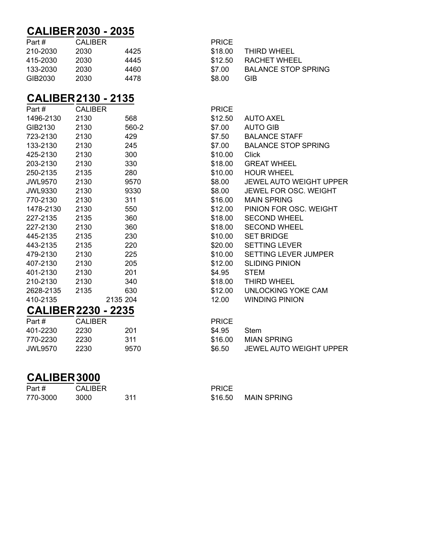#### **CALIBER 2030 - 2035**

| Part #   | CALIBER |      | <b>PRICE</b> |                     |
|----------|---------|------|--------------|---------------------|
| 210-2030 | 2030    | 4425 | \$18.00      | THIRD WHEEL         |
| 415-2030 | 2030    | 4445 | \$12.50      | RACHET WHEEL        |
| 133-2030 | 2030    | 4460 | \$7.00       | <b>BALANCE STOP</b> |
| GIB2030  | 2030    | 4478 | \$8.00       | <b>GIB</b>          |

## **CALIBER 2130 - 2135**

| Part #                     | <b>CALIBER</b> |          | <b>PRICE</b> |                       |
|----------------------------|----------------|----------|--------------|-----------------------|
| 1496-2130                  | 2130           | 568      | \$12.50      | <b>AUTO AXEL</b>      |
| GIB2130                    | 2130           | 560-2    | \$7.00       | <b>AUTO GIB</b>       |
| 723-2130                   | 2130           | 429      | \$7.50       | <b>BALANCE STAFF</b>  |
| 133-2130                   | 2130           | 245      | \$7.00       | <b>BALANCE STOP 9</b> |
| 425-2130                   | 2130           | 300      | \$10.00      | <b>Click</b>          |
| 203-2130                   | 2130           | 330      | \$18.00      | <b>GREAT WHEEL</b>    |
| 250-2135                   | 2135           | 280      | \$10.00      | <b>HOUR WHEEL</b>     |
| <b>JWL9570</b>             | 2130           | 9570     | \$8.00       | JEWEL AUTO WE         |
| <b>JWL9330</b>             | 2130           | 9330     | \$8.00       | <b>JEWEL FOR OSC</b>  |
| 770-2130                   | 2130           | 311      | \$16.00      | <b>MAIN SPRING</b>    |
| 1478-2130                  | 2130           | 550      | \$12.00      | PINION FOR OSC        |
| 227-2135                   | 2135           | 360      | \$18.00      | <b>SECOND WHEEL</b>   |
| 227-2130                   | 2130           | 360      | \$18.00      | <b>SECOND WHEEL</b>   |
| 445-2135                   | 2135           | 230      | \$10.00      | <b>SET BRIDGE</b>     |
| 443-2135                   | 2135           | 220      | \$20.00      | <b>SETTING LEVER</b>  |
| 479-2130                   | 2130           | 225      | \$10.00      | <b>SETTING LEVER</b>  |
| 407-2130                   | 2130           | 205      | \$12.00      | <b>SLIDING PINION</b> |
| 401-2130                   | 2130           | 201      | \$4.95       | <b>STEM</b>           |
| 210-2130                   | 2130           | 340      | \$18.00      | THIRD WHEEL           |
| 2628-2135                  | 2135           | 630      | \$12.00      | <b>UNLOCKING YOK</b>  |
| 410-2135                   |                | 2135 204 | 12.00        | <b>WINDING PINION</b> |
| <b>CALIBER 2230 - 2235</b> |                |          |              |                       |
| Part#                      | <b>CALIBER</b> |          | <b>PRICE</b> |                       |
| 401-2230                   | 2230.          | 201      | \$495        | Stem                  |

| 401-2230 | 2230 | 201  |
|----------|------|------|
| 770-2230 | 2230 | 311  |
| JWL9570  | 2230 | 9570 |
|          |      |      |

#### **CALIBER3000**

| Part #   | <b>CALIBER</b> |     | <b>PRICE</b> |             |
|----------|----------------|-----|--------------|-------------|
| 770-3000 | 3000           | 311 | \$16.50      | MAIN SPRING |

| Part #   | <b>CALIBER</b> |      | <b>PRICE</b> |                            |
|----------|----------------|------|--------------|----------------------------|
| 210-2030 | 2030           | 4425 |              | \$18.00 THIRD WHEEL        |
| 415-2030 | 2030           | 4445 |              | \$12.50 RACHET WHEEL       |
| 133-2030 | 2030           | 4460 | \$7.00       | <b>BALANCE STOP SPRING</b> |
| GIB2030  | 2030           | 4478 | \$8.00       | GIB.                       |

| <b>UALIDENZIJU - ZIJJ</b>  |                |          |              |                                |
|----------------------------|----------------|----------|--------------|--------------------------------|
| Part #                     | <b>CALIBER</b> |          | <b>PRICE</b> |                                |
| 1496-2130                  | 2130           | 568      | \$12.50      | <b>AUTO AXEL</b>               |
| GIB2130                    | 2130           | 560-2    | \$7.00       | <b>AUTO GIB</b>                |
| 723-2130                   | 2130           | 429      | \$7.50       | <b>BALANCE STAFF</b>           |
| 133-2130                   | 2130           | 245      | \$7.00       | <b>BALANCE STOP SPRING</b>     |
| 425-2130                   | 2130           | 300      | \$10.00      | Click                          |
| 203-2130                   | 2130           | 330      | \$18.00      | <b>GREAT WHEEL</b>             |
| 250-2135                   | 2135           | 280      | \$10.00      | <b>HOUR WHEEL</b>              |
| <b>JWL9570</b>             | 2130           | 9570     | \$8.00       | <b>JEWEL AUTO WEIGHT UPPER</b> |
| JWL9330                    | 2130           | 9330     | \$8.00       | JEWEL FOR OSC. WEIGHT          |
| 770-2130                   | 2130           | 311      | \$16.00      | <b>MAIN SPRING</b>             |
| 1478-2130                  | 2130           | 550      | \$12.00      | PINION FOR OSC. WEIGHT         |
| 227-2135                   | 2135           | 360      | \$18.00      | <b>SECOND WHEEL</b>            |
| 227-2130                   | 2130           | 360      | \$18.00      | <b>SECOND WHEEL</b>            |
| 445-2135                   | 2135           | 230      | \$10.00      | <b>SET BRIDGE</b>              |
| 443-2135                   | 2135           | 220      | \$20.00      | SETTING LEVER                  |
| 479-2130                   | 2130           | 225      | \$10.00      | SETTING LEVER JUMPER           |
| 407-2130                   | 2130           | 205      | \$12.00      | <b>SLIDING PINION</b>          |
| 401-2130                   | 2130           | 201      | \$4.95       | <b>STEM</b>                    |
| 210-2130                   | 2130           | 340      | \$18.00      | THIRD WHEEL                    |
| 2628-2135                  | 2135           | 630      | \$12.00      | UNLOCKING YOKE CAM             |
| 410-2135                   |                | 2135 204 | 12.00        | <b>WINDING PINION</b>          |
| <b>CALIBER 2230 - 2235</b> |                |          |              |                                |
| Part #                     | <b>CALIBER</b> |          | <b>PRICE</b> |                                |
| 401-2230                   | 2230           | 201      | \$4.95       | <b>Stem</b>                    |

\$6.50 JEWEL AUTO WEIGHT UPPER

\$16.00 MIAN SPRING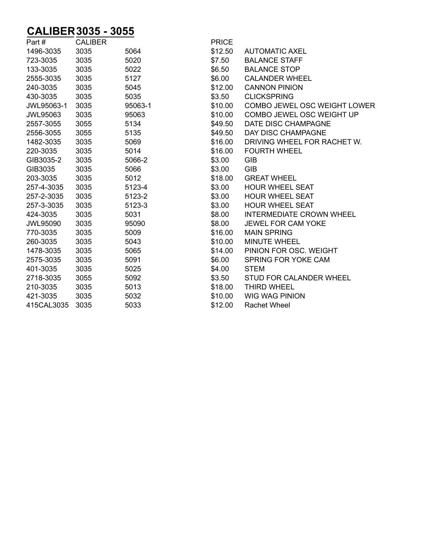## **CALIBER 3035 - 3055**

| 1496-3035<br>3035<br>5064<br>\$12.50<br><b>AUTOMATIC AXEL</b><br>3035<br><b>BALANCE STAFF</b><br>723-3035<br>5020<br>\$7.50<br>3035<br><b>BALANCE STOP</b><br>133-3035<br>5022<br>\$6.50 |  |
|------------------------------------------------------------------------------------------------------------------------------------------------------------------------------------------|--|
|                                                                                                                                                                                          |  |
|                                                                                                                                                                                          |  |
|                                                                                                                                                                                          |  |
| 5127<br>\$6.00<br>2555-3035<br>3035<br><b>CALANDER WHEEL</b>                                                                                                                             |  |
| 240-3035<br>3035<br>5045<br>\$12.00<br><b>CANNON PINION</b>                                                                                                                              |  |
| \$3.50<br><b>CLICKSPRING</b><br>430-3035<br>3035<br>5035                                                                                                                                 |  |
| 3035<br>\$10.00<br>COMBO JEWEL OSC WEIGHT LOWER<br>95063-1<br>JWL95063-1                                                                                                                 |  |
| COMBO JEWEL OSC WEIGHT UP<br>3035<br>\$10.00<br><b>JWL95063</b><br>95063                                                                                                                 |  |
| 5134<br>\$49.50<br>DATE DISC CHAMPAGNE<br>2557-3055<br>3055                                                                                                                              |  |
| 5135<br>\$49.50<br>DAY DISC CHAMPAGNE<br>2556-3055<br>3055                                                                                                                               |  |
| 1482-3035<br>3035<br>5069<br>\$16.00<br>DRIVING WHEEL FOR RACHET W.                                                                                                                      |  |
| 220-3035<br>3035<br>5014<br>\$16.00<br><b>FOURTH WHEEL</b>                                                                                                                               |  |
| \$3.00<br>GIB3035-2<br>3035<br>5066-2<br><b>GIB</b>                                                                                                                                      |  |
| 3035<br><b>GIB</b><br>GIB3035<br>5066<br>\$3.00                                                                                                                                          |  |
| 203-3035<br>3035<br>5012<br>\$18.00<br><b>GREAT WHEEL</b>                                                                                                                                |  |
| 3035<br>\$3.00<br><b>HOUR WHEEL SEAT</b><br>257-4-3035<br>5123-4                                                                                                                         |  |
| \$3.00<br><b>HOUR WHEEL SEAT</b><br>257-2-3035<br>3035<br>5123-2                                                                                                                         |  |
| 3035<br>\$3.00<br><b>HOUR WHEEL SEAT</b><br>257-3-3035<br>5123-3                                                                                                                         |  |
| \$8.00<br><b>INTERMEDIATE CROWN WHEEL</b><br>424-3035<br>3035<br>5031                                                                                                                    |  |
| 3035<br>95090<br>\$8.00<br><b>JEWEL FOR CAM YOKE</b><br><b>JWL95090</b>                                                                                                                  |  |
| \$16.00<br><b>MAIN SPRING</b><br>770-3035<br>3035<br>5009                                                                                                                                |  |
| 260-3035<br>3035<br>5043<br>\$10.00<br><b>MINUTE WHEEL</b>                                                                                                                               |  |
| 1478-3035<br>3035<br>5065<br>\$14.00<br>PINION FOR OSC. WEIGHT                                                                                                                           |  |
| 3035<br>5091<br>\$6.00<br>SPRING FOR YOKE CAM<br>2575-3035                                                                                                                               |  |
| 3035<br>5025<br>401-3035<br>\$4.00<br><b>STEM</b>                                                                                                                                        |  |
| 5092<br>\$3.50<br>STUD FOR CALANDER WHEEL<br>2718-3035<br>3055                                                                                                                           |  |
| 3035<br>5013<br>\$18.00<br><b>THIRD WHEEL</b><br>210-3035                                                                                                                                |  |
| 3035<br>5032<br><b>WIG WAG PINION</b><br>421-3035<br>\$10.00                                                                                                                             |  |
| 5033<br>\$12.00<br>415CAL3035<br>3035<br>Rachet Wheel                                                                                                                                    |  |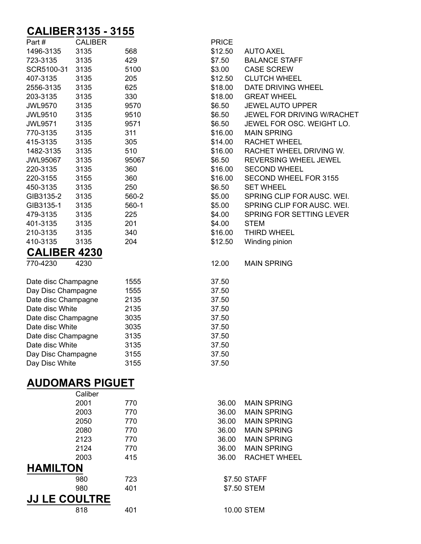## **CALIBER 727 3135 - 3155**

| Part#                | <b>CALIBER</b>         |       | <b>PRICE</b> |                              |
|----------------------|------------------------|-------|--------------|------------------------------|
| 1496-3135            | 3135                   | 568   | \$12.50      | <b>AUTO AXEL</b>             |
| 723-3135             | 3135                   | 429   | \$7.50       | <b>BALANCE STAFF</b>         |
| SCR5100-31           | 3135                   | 5100  | \$3.00       | <b>CASE SCREW</b>            |
| 407-3135             | 3135                   | 205   | \$12.50      | <b>CLUTCH WHEEL</b>          |
| 2556-3135            | 3135                   | 625   | \$18.00      | DATE DRIVING WHEEL           |
| 203-3135             | 3135                   | 330   | \$18.00      | <b>GREAT WHEEL</b>           |
| <b>JWL9570</b>       | 3135                   | 9570  | \$6.50       | <b>JEWEL AUTO UPPER</b>      |
| <b>JWL9510</b>       | 3135                   | 9510  | \$6.50       | JEWEL FOR DRIVING W/RACHET   |
| <b>JWL9571</b>       | 3135                   | 9571  | \$6.50       | JEWEL FOR OSC. WEIGHT LO.    |
| 770-3135             | 3135                   | 311   | \$16.00      | <b>MAIN SPRING</b>           |
| 415-3135             | 3135                   | 305   | \$14.00      | <b>RACHET WHEEL</b>          |
| 1482-3135            | 3135                   | 510   | \$16.00      | RACHET WHEEL DRIVING W.      |
| <b>JWL95067</b>      | 3135                   | 95067 | \$6.50       | REVERSING WHEEL JEWEL        |
| 220-3135             | 3135                   | 360   | \$16.00      | <b>SECOND WHEEL</b>          |
| 220-3155             | 3155                   | 360   | \$16.00      | <b>SECOND WHEEL FOR 3155</b> |
| 450-3135             | 3135                   | 250   | \$6.50       | <b>SET WHEEL</b>             |
| GIB3135-2            | 3135                   | 560-2 | \$5.00       | SPRING CLIP FOR AUSC. WEI.   |
| GIB3135-1            | 3135                   | 560-1 | \$5.00       | SPRING CLIP FOR AUSC. WEI.   |
| 479-3135             | 3135                   | 225   | \$4.00       | SPRING FOR SETTING LEVER     |
| 401-3135             | 3135                   | 201   | \$4.00       | <b>STEM</b>                  |
| 210-3135             | 3135                   | 340   | \$16.00      | <b>THIRD WHEEL</b>           |
| 410-3135             | 3135                   | 204   | \$12.50      | Winding pinion               |
| <b>CALIBER 4230</b>  |                        |       |              |                              |
| 770-4230             | 4230                   |       | 12.00        | <b>MAIN SPRING</b>           |
| Date disc Champagne  |                        | 1555  | 37.50        |                              |
| Day Disc Champagne   |                        | 1555  | 37.50        |                              |
| Date disc Champagne  |                        | 2135  | 37.50        |                              |
| Date disc White      |                        | 2135  | 37.50        |                              |
| Date disc Champagne  |                        | 3035  | 37.50        |                              |
| Date disc White      |                        | 3035  | 37.50        |                              |
| Date disc Champagne  |                        | 3135  | 37.50        |                              |
| Date disc White      |                        | 3135  | 37.50        |                              |
| Day Disc Champagne   |                        | 3155  | 37.50        |                              |
| Day Disc White       |                        | 3155  | 37.50        |                              |
|                      | <b>AUDOMARS PIGUET</b> |       |              |                              |
|                      | Caliber                |       |              |                              |
|                      | 2001                   | 770   | 36.00        | <b>MAIN SPRING</b>           |
|                      | 2003                   | 770   | 36.00        | <b>MAIN SPRING</b>           |
|                      | 2050                   | 770   | 36.00        | <b>MAIN SPRING</b>           |
|                      | 2080                   | 770   | 36.00        | <b>MAIN SPRING</b>           |
|                      | 2123                   | 770   | 36.00        | <b>MAIN SPRING</b>           |
|                      | 2124                   | 770   | 36.00        | <b>MAIN SPRING</b>           |
|                      | 2003                   | 415   | 36.00        | <b>RACHET WHEEL</b>          |
| <b>HAMILTON</b>      |                        |       |              |                              |
|                      | 980                    | 723   |              | \$7.50 STAFF                 |
|                      | 980                    | 401   |              | \$7.50 STEM                  |
| <b>JJ LE COULTRE</b> |                        |       |              |                              |
|                      |                        |       |              |                              |
|                      | 818                    | 401   |              | 10.00 STEM                   |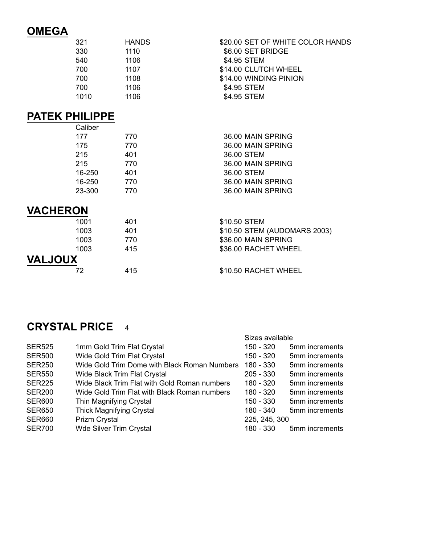## **OMEGA**

| 321  | <b>HANDS</b> | \$20.00 SET OF WHITE COLOR HANDS |
|------|--------------|----------------------------------|
| 330  | 1110         | \$6.00 SET BRIDGE                |
| 540  | 1106         | \$4.95 STEM                      |
| 700  | 1107         | \$14.00 CLUTCH WHEEL             |
| 700  | 1108         | \$14.00 WINDING PINION           |
| 700  | 1106         | \$4.95 STEM                      |
| 1010 | 1106         | \$4.95 STEM                      |

#### **PATEK PHILIPPE**

|                 | Caliber |     |                              |
|-----------------|---------|-----|------------------------------|
|                 | 177     | 770 | 36.00 MAIN SPRING            |
|                 | 175     | 770 | 36.00 MAIN SPRING            |
|                 | 215     | 401 | 36.00 STEM                   |
|                 | 215     | 770 | 36.00 MAIN SPRING            |
|                 | 16-250  | 401 | 36.00 STEM                   |
|                 | 16-250  | 770 | 36.00 MAIN SPRING            |
|                 | 23-300  | 770 | 36.00 MAIN SPRING            |
| <b>VACHERON</b> |         |     |                              |
|                 | 1001    | 401 | \$10.50 STEM                 |
|                 | 1003    | 401 | \$10.50 STEM (AUDOMARS 2003) |
|                 | 1003    | 770 | \$36.00 MAIN SPRING          |
|                 | 1003    | 415 | \$36.00 RACHET WHEEL         |
| <b>VALJOUX</b>  |         |     |                              |
|                 | 72      | 415 | \$10.50 RACHET WHEEL         |
|                 |         |     |                              |

#### **CRYSTAL PRICE** 4

|               |                                              | Sizes available |                |
|---------------|----------------------------------------------|-----------------|----------------|
| <b>SER525</b> | 1mm Gold Trim Flat Crystal                   | 150 - 320       | 5mm increments |
| <b>SER500</b> | Wide Gold Trim Flat Crystal                  | $150 - 320$     | 5mm increments |
| <b>SER250</b> | Wide Gold Trim Dome with Black Roman Numbers | 180 - 330       | 5mm increments |
| <b>SER550</b> | Wide Black Trim Flat Crystal                 | $205 - 330$     | 5mm increments |
| <b>SER225</b> | Wide Black Trim Flat with Gold Roman numbers | 180 - 320       | 5mm increments |
| <b>SER200</b> | Wide Gold Trim Flat with Black Roman numbers | 180 - 320       | 5mm increments |
| <b>SER600</b> | Thin Magnifying Crystal                      | 150 - 330       | 5mm increments |
| <b>SER650</b> | <b>Thick Magnifying Crystal</b>              | 180 - 340       | 5mm increments |
| <b>SER660</b> | <b>Prizm Crystal</b>                         | 225, 245, 300   |                |
| <b>SER700</b> | <b>Wde Silver Trim Crystal</b>               | 180 - 330       | 5mm increments |